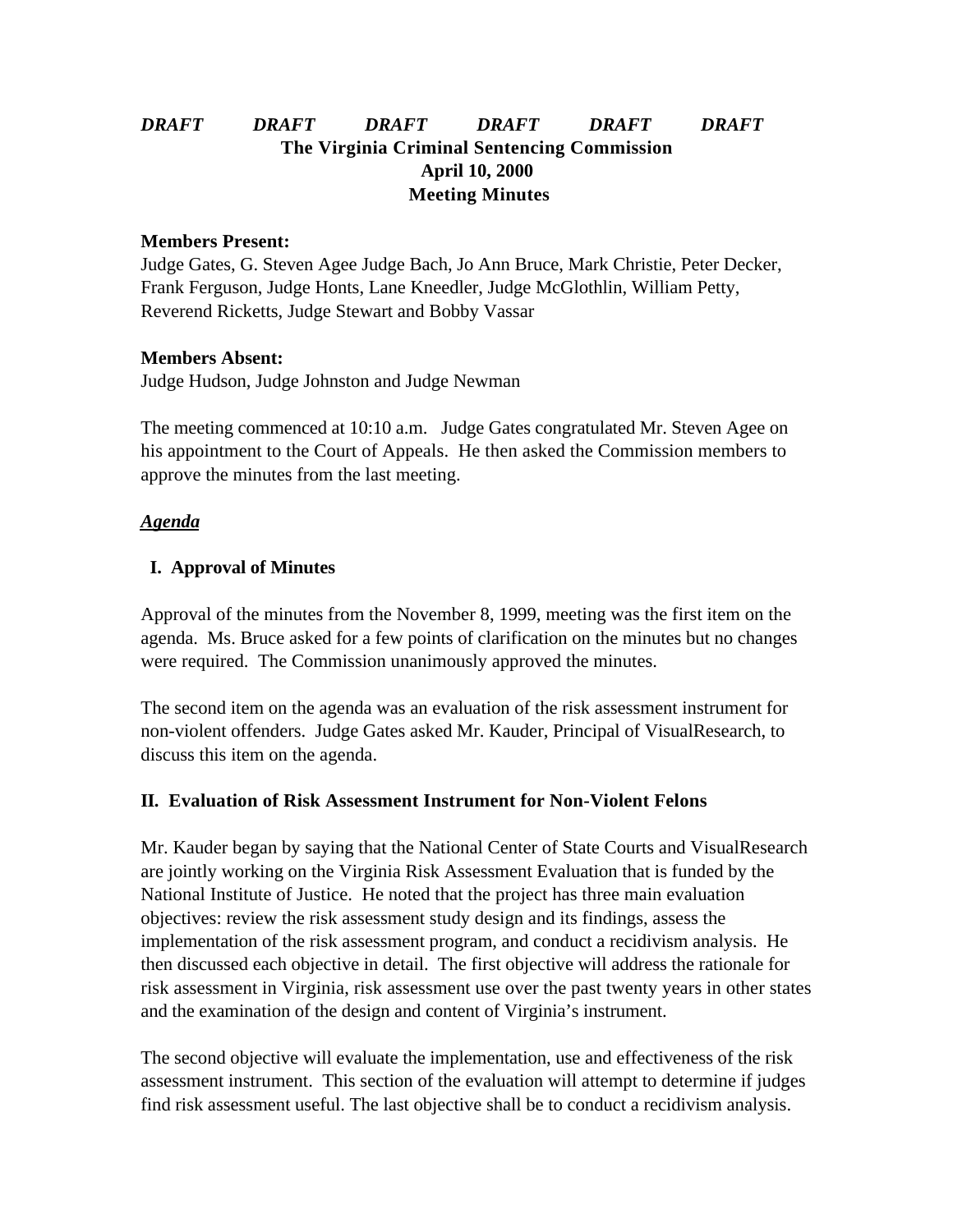# *DRAFT DRAFT DRAFT DRAFT DRAFT DRAFT* **The Virginia Criminal Sentencing Commission April 10, 2000 Meeting Minutes**

#### **Members Present:**

Judge Gates, G. Steven Agee Judge Bach, Jo Ann Bruce, Mark Christie, Peter Decker, Frank Ferguson, Judge Honts, Lane Kneedler, Judge McGlothlin, William Petty, Reverend Ricketts, Judge Stewart and Bobby Vassar

#### **Members Absent:**

Judge Hudson, Judge Johnston and Judge Newman

The meeting commenced at 10:10 a.m. Judge Gates congratulated Mr. Steven Agee on his appointment to the Court of Appeals. He then asked the Commission members to approve the minutes from the last meeting.

#### *Agenda*

## **I. Approval of Minutes**

Approval of the minutes from the November 8, 1999, meeting was the first item on the agenda. Ms. Bruce asked for a few points of clarification on the minutes but no changes were required. The Commission unanimously approved the minutes.

The second item on the agenda was an evaluation of the risk assessment instrument for non-violent offenders. Judge Gates asked Mr. Kauder, Principal of VisualResearch, to discuss this item on the agenda.

## **II. Evaluation of Risk Assessment Instrument for Non-Violent Felons**

Mr. Kauder began by saying that the National Center of State Courts and VisualResearch are jointly working on the Virginia Risk Assessment Evaluation that is funded by the National Institute of Justice. He noted that the project has three main evaluation objectives: review the risk assessment study design and its findings, assess the implementation of the risk assessment program, and conduct a recidivism analysis. He then discussed each objective in detail. The first objective will address the rationale for risk assessment in Virginia, risk assessment use over the past twenty years in other states and the examination of the design and content of Virginia's instrument.

The second objective will evaluate the implementation, use and effectiveness of the risk assessment instrument. This section of the evaluation will attempt to determine if judges find risk assessment useful. The last objective shall be to conduct a recidivism analysis.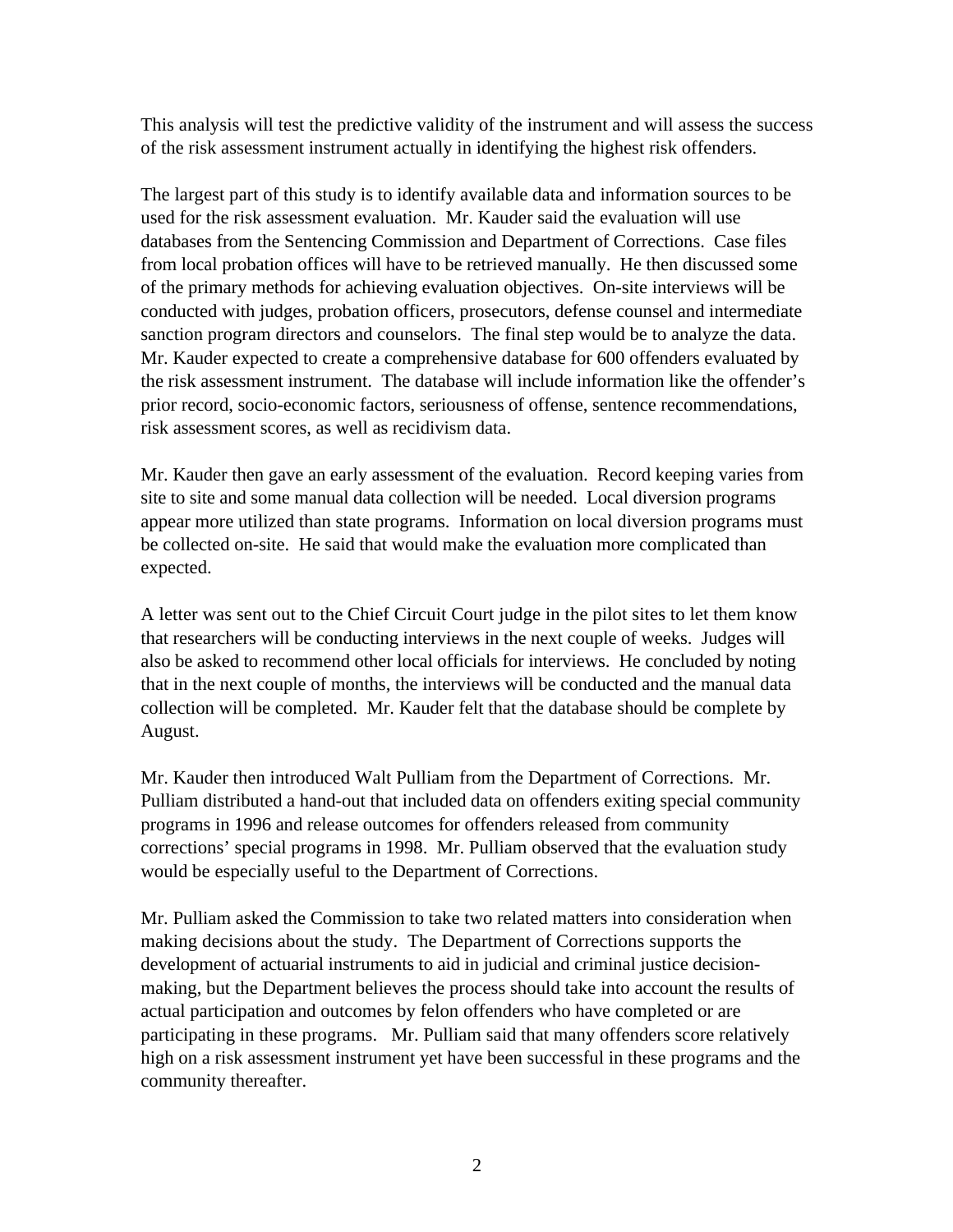This analysis will test the predictive validity of the instrument and will assess the success of the risk assessment instrument actually in identifying the highest risk offenders.

The largest part of this study is to identify available data and information sources to be used for the risk assessment evaluation. Mr. Kauder said the evaluation will use databases from the Sentencing Commission and Department of Corrections. Case files from local probation offices will have to be retrieved manually. He then discussed some of the primary methods for achieving evaluation objectives. On-site interviews will be conducted with judges, probation officers, prosecutors, defense counsel and intermediate sanction program directors and counselors. The final step would be to analyze the data. Mr. Kauder expected to create a comprehensive database for 600 offenders evaluated by the risk assessment instrument. The database will include information like the offender's prior record, socio-economic factors, seriousness of offense, sentence recommendations, risk assessment scores, as well as recidivism data.

Mr. Kauder then gave an early assessment of the evaluation. Record keeping varies from site to site and some manual data collection will be needed. Local diversion programs appear more utilized than state programs. Information on local diversion programs must be collected on-site. He said that would make the evaluation more complicated than expected.

A letter was sent out to the Chief Circuit Court judge in the pilot sites to let them know that researchers will be conducting interviews in the next couple of weeks. Judges will also be asked to recommend other local officials for interviews. He concluded by noting that in the next couple of months, the interviews will be conducted and the manual data collection will be completed. Mr. Kauder felt that the database should be complete by August.

Mr. Kauder then introduced Walt Pulliam from the Department of Corrections. Mr. Pulliam distributed a hand-out that included data on offenders exiting special community programs in 1996 and release outcomes for offenders released from community corrections' special programs in 1998. Mr. Pulliam observed that the evaluation study would be especially useful to the Department of Corrections.

Mr. Pulliam asked the Commission to take two related matters into consideration when making decisions about the study. The Department of Corrections supports the development of actuarial instruments to aid in judicial and criminal justice decisionmaking, but the Department believes the process should take into account the results of actual participation and outcomes by felon offenders who have completed or are participating in these programs. Mr. Pulliam said that many offenders score relatively high on a risk assessment instrument yet have been successful in these programs and the community thereafter.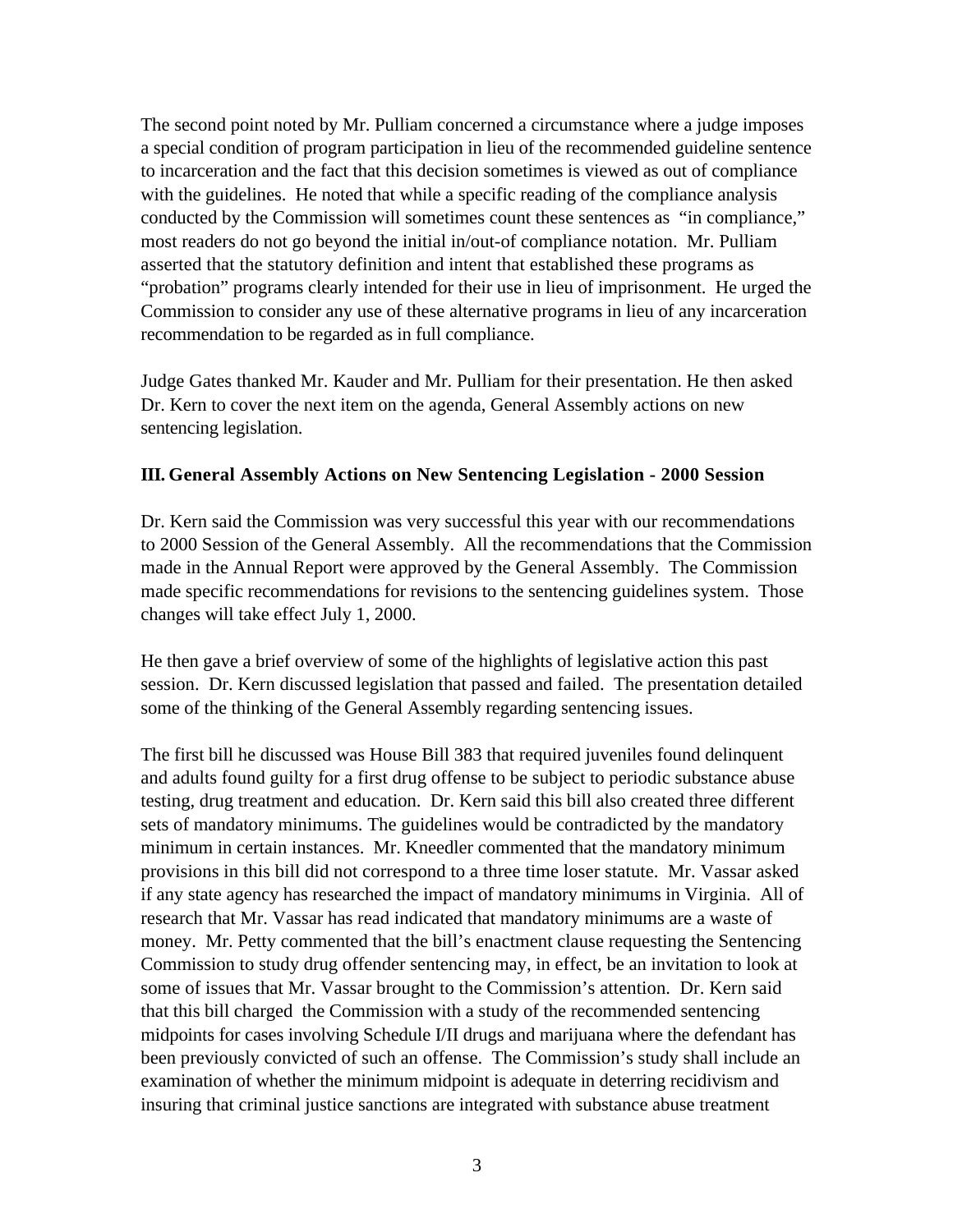The second point noted by Mr. Pulliam concerned a circumstance where a judge imposes a special condition of program participation in lieu of the recommended guideline sentence to incarceration and the fact that this decision sometimes is viewed as out of compliance with the guidelines. He noted that while a specific reading of the compliance analysis conducted by the Commission will sometimes count these sentences as "in compliance," most readers do not go beyond the initial in/out-of compliance notation. Mr. Pulliam asserted that the statutory definition and intent that established these programs as "probation" programs clearly intended for their use in lieu of imprisonment. He urged the Commission to consider any use of these alternative programs in lieu of any incarceration recommendation to be regarded as in full compliance.

Judge Gates thanked Mr. Kauder and Mr. Pulliam for their presentation. He then asked Dr. Kern to cover the next item on the agenda, General Assembly actions on new sentencing legislation.

#### **III. General Assembly Actions on New Sentencing Legislation - 2000 Session**

Dr. Kern said the Commission was very successful this year with our recommendations to 2000 Session of the General Assembly. All the recommendations that the Commission made in the Annual Report were approved by the General Assembly. The Commission made specific recommendations for revisions to the sentencing guidelines system. Those changes will take effect July 1, 2000.

He then gave a brief overview of some of the highlights of legislative action this past session. Dr. Kern discussed legislation that passed and failed. The presentation detailed some of the thinking of the General Assembly regarding sentencing issues.

The first bill he discussed was House Bill 383 that required juveniles found delinquent and adults found guilty for a first drug offense to be subject to periodic substance abuse testing, drug treatment and education. Dr. Kern said this bill also created three different sets of mandatory minimums. The guidelines would be contradicted by the mandatory minimum in certain instances. Mr. Kneedler commented that the mandatory minimum provisions in this bill did not correspond to a three time loser statute. Mr. Vassar asked if any state agency has researched the impact of mandatory minimums in Virginia. All of research that Mr. Vassar has read indicated that mandatory minimums are a waste of money. Mr. Petty commented that the bill's enactment clause requesting the Sentencing Commission to study drug offender sentencing may, in effect, be an invitation to look at some of issues that Mr. Vassar brought to the Commission's attention. Dr. Kern said that this bill charged the Commission with a study of the recommended sentencing midpoints for cases involving Schedule I/II drugs and marijuana where the defendant has been previously convicted of such an offense. The Commission's study shall include an examination of whether the minimum midpoint is adequate in deterring recidivism and insuring that criminal justice sanctions are integrated with substance abuse treatment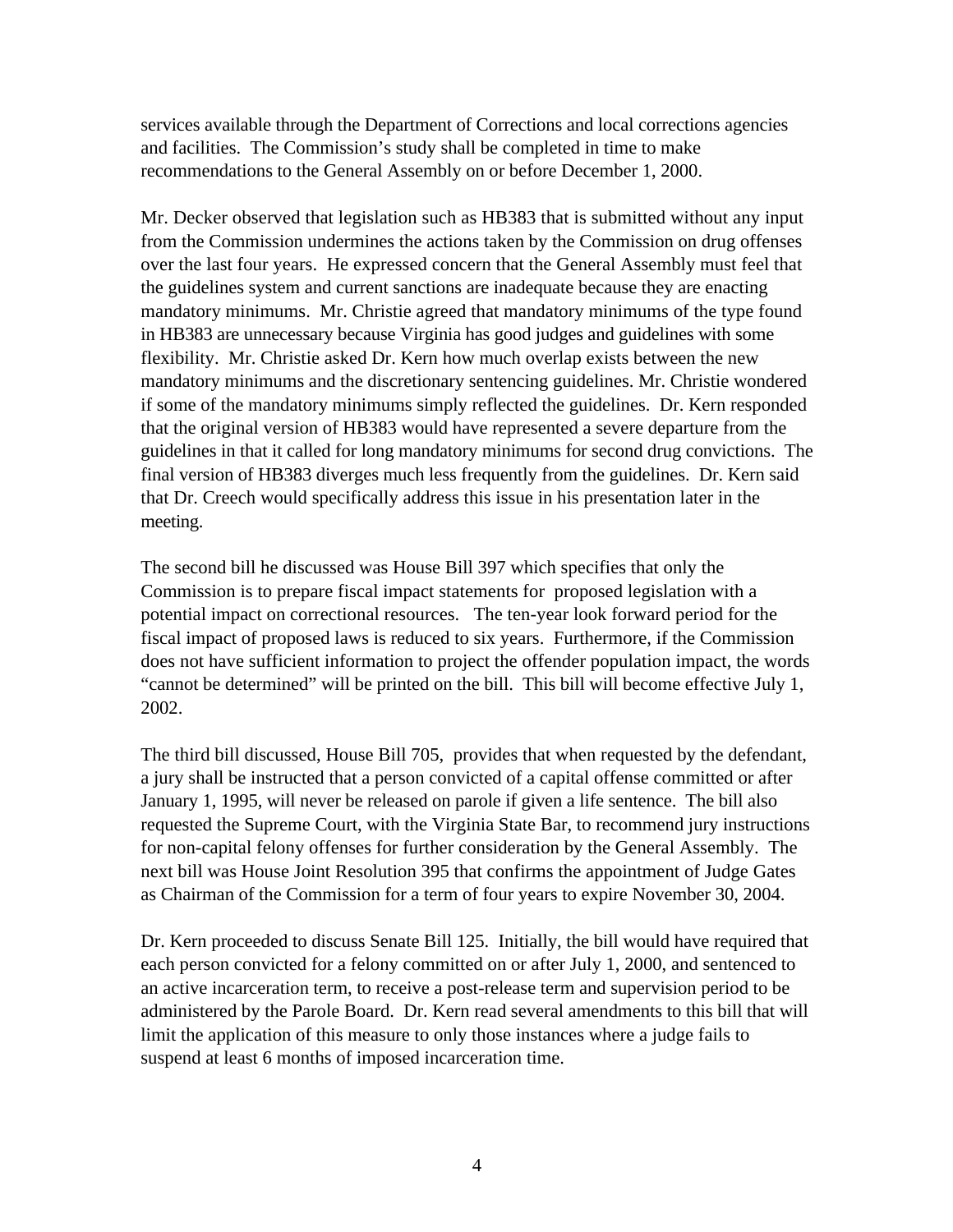services available through the Department of Corrections and local corrections agencies and facilities. The Commission's study shall be completed in time to make recommendations to the General Assembly on or before December 1, 2000.

Mr. Decker observed that legislation such as HB383 that is submitted without any input from the Commission undermines the actions taken by the Commission on drug offenses over the last four years. He expressed concern that the General Assembly must feel that the guidelines system and current sanctions are inadequate because they are enacting mandatory minimums. Mr. Christie agreed that mandatory minimums of the type found in HB383 are unnecessary because Virginia has good judges and guidelines with some flexibility. Mr. Christie asked Dr. Kern how much overlap exists between the new mandatory minimums and the discretionary sentencing guidelines. Mr. Christie wondered if some of the mandatory minimums simply reflected the guidelines. Dr. Kern responded that the original version of HB383 would have represented a severe departure from the guidelines in that it called for long mandatory minimums for second drug convictions. The final version of HB383 diverges much less frequently from the guidelines. Dr. Kern said that Dr. Creech would specifically address this issue in his presentation later in the meeting.

The second bill he discussed was House Bill 397 which specifies that only the Commission is to prepare fiscal impact statements for proposed legislation with a potential impact on correctional resources. The ten-year look forward period for the fiscal impact of proposed laws is reduced to six years. Furthermore, if the Commission does not have sufficient information to project the offender population impact, the words "cannot be determined" will be printed on the bill. This bill will become effective July 1, 2002.

The third bill discussed, House Bill 705, provides that when requested by the defendant, a jury shall be instructed that a person convicted of a capital offense committed or after January 1, 1995, will never be released on parole if given a life sentence. The bill also requested the Supreme Court, with the Virginia State Bar, to recommend jury instructions for non-capital felony offenses for further consideration by the General Assembly. The next bill was House Joint Resolution 395 that confirms the appointment of Judge Gates as Chairman of the Commission for a term of four years to expire November 30, 2004.

Dr. Kern proceeded to discuss Senate Bill 125. Initially, the bill would have required that each person convicted for a felony committed on or after July 1, 2000, and sentenced to an active incarceration term, to receive a post-release term and supervision period to be administered by the Parole Board. Dr. Kern read several amendments to this bill that will limit the application of this measure to only those instances where a judge fails to suspend at least 6 months of imposed incarceration time.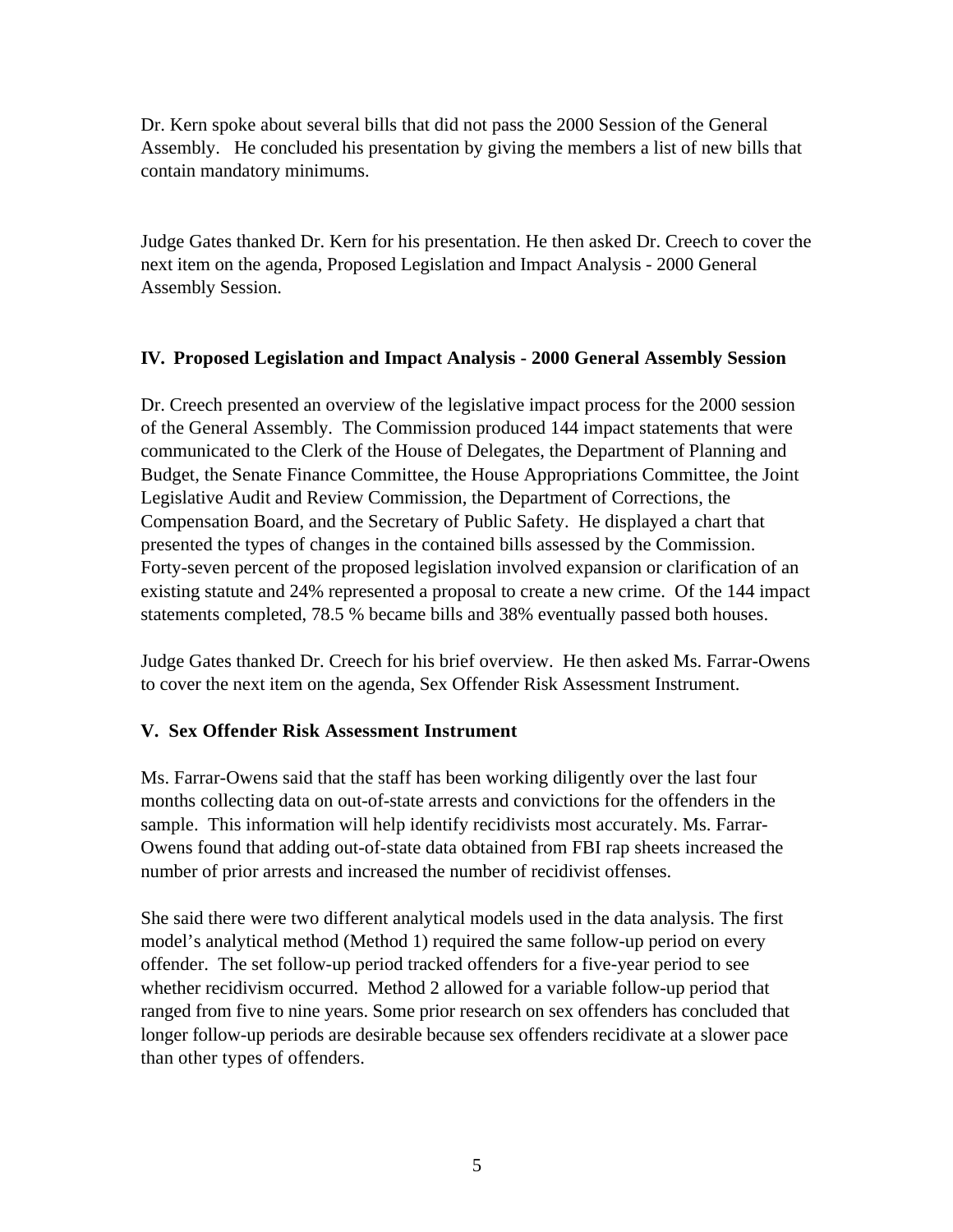Dr. Kern spoke about several bills that did not pass the 2000 Session of the General Assembly. He concluded his presentation by giving the members a list of new bills that contain mandatory minimums.

Judge Gates thanked Dr. Kern for his presentation. He then asked Dr. Creech to cover the next item on the agenda, Proposed Legislation and Impact Analysis - 2000 General Assembly Session.

## **IV. Proposed Legislation and Impact Analysis - 2000 General Assembly Session**

Dr. Creech presented an overview of the legislative impact process for the 2000 session of the General Assembly. The Commission produced 144 impact statements that were communicated to the Clerk of the House of Delegates, the Department of Planning and Budget, the Senate Finance Committee, the House Appropriations Committee, the Joint Legislative Audit and Review Commission, the Department of Corrections, the Compensation Board, and the Secretary of Public Safety. He displayed a chart that presented the types of changes in the contained bills assessed by the Commission. Forty-seven percent of the proposed legislation involved expansion or clarification of an existing statute and 24% represented a proposal to create a new crime. Of the 144 impact statements completed, 78.5 % became bills and 38% eventually passed both houses.

Judge Gates thanked Dr. Creech for his brief overview. He then asked Ms. Farrar-Owens to cover the next item on the agenda, Sex Offender Risk Assessment Instrument.

## **V. Sex Offender Risk Assessment Instrument**

Ms. Farrar-Owens said that the staff has been working diligently over the last four months collecting data on out-of-state arrests and convictions for the offenders in the sample. This information will help identify recidivists most accurately. Ms. Farrar-Owens found that adding out-of-state data obtained from FBI rap sheets increased the number of prior arrests and increased the number of recidivist offenses.

She said there were two different analytical models used in the data analysis. The first model's analytical method (Method 1) required the same follow-up period on every offender. The set follow-up period tracked offenders for a five-year period to see whether recidivism occurred. Method 2 allowed for a variable follow-up period that ranged from five to nine years. Some prior research on sex offenders has concluded that longer follow-up periods are desirable because sex offenders recidivate at a slower pace than other types of offenders.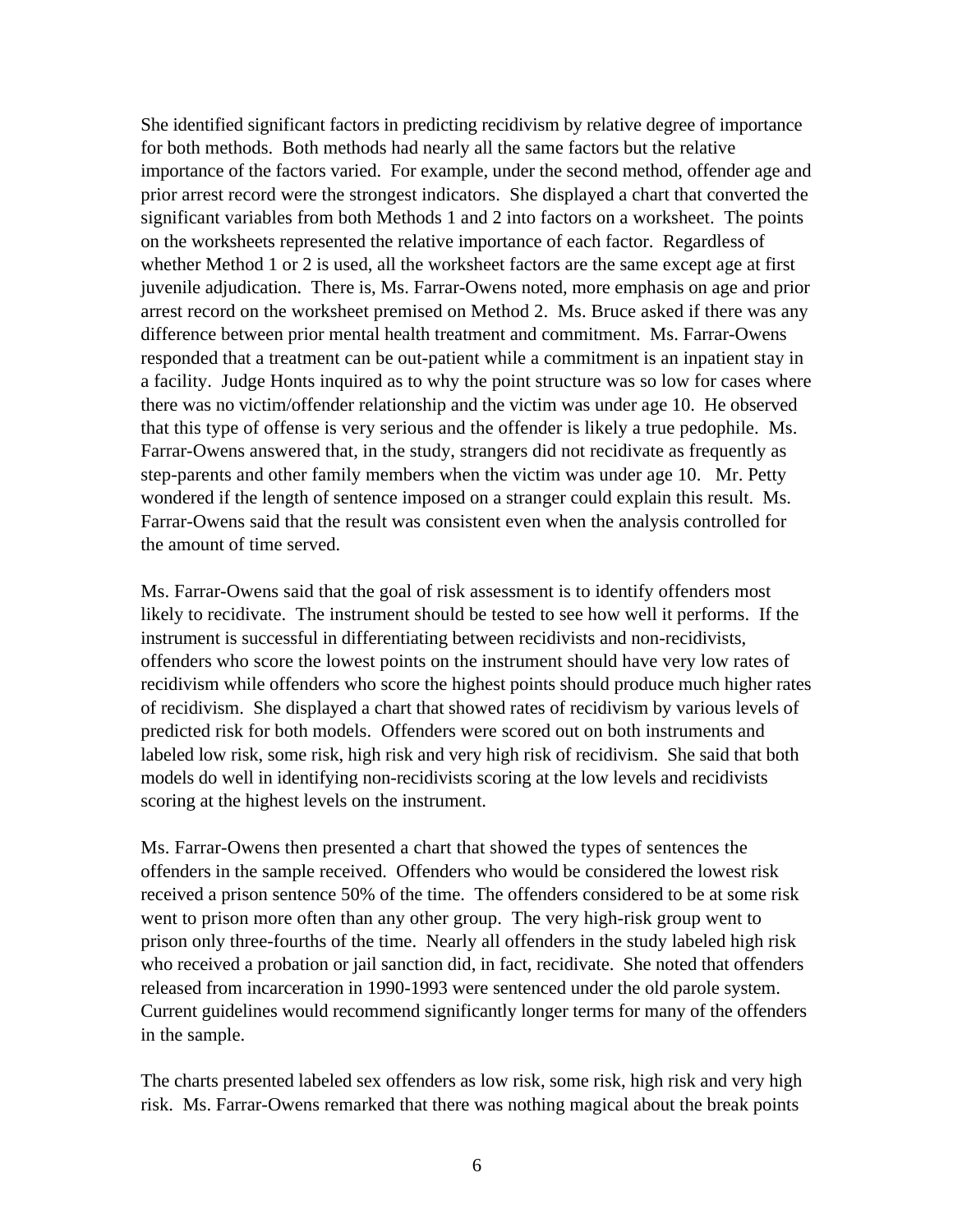She identified significant factors in predicting recidivism by relative degree of importance for both methods. Both methods had nearly all the same factors but the relative importance of the factors varied. For example, under the second method, offender age and prior arrest record were the strongest indicators. She displayed a chart that converted the significant variables from both Methods 1 and 2 into factors on a worksheet. The points on the worksheets represented the relative importance of each factor. Regardless of whether Method 1 or 2 is used, all the worksheet factors are the same except age at first juvenile adjudication. There is, Ms. Farrar-Owens noted, more emphasis on age and prior arrest record on the worksheet premised on Method 2. Ms. Bruce asked if there was any difference between prior mental health treatment and commitment. Ms. Farrar-Owens responded that a treatment can be out-patient while a commitment is an inpatient stay in a facility. Judge Honts inquired as to why the point structure was so low for cases where there was no victim/offender relationship and the victim was under age 10. He observed that this type of offense is very serious and the offender is likely a true pedophile. Ms. Farrar-Owens answered that, in the study, strangers did not recidivate as frequently as step-parents and other family members when the victim was under age 10. Mr. Petty wondered if the length of sentence imposed on a stranger could explain this result. Ms. Farrar-Owens said that the result was consistent even when the analysis controlled for the amount of time served.

Ms. Farrar-Owens said that the goal of risk assessment is to identify offenders most likely to recidivate. The instrument should be tested to see how well it performs. If the instrument is successful in differentiating between recidivists and non-recidivists, offenders who score the lowest points on the instrument should have very low rates of recidivism while offenders who score the highest points should produce much higher rates of recidivism. She displayed a chart that showed rates of recidivism by various levels of predicted risk for both models. Offenders were scored out on both instruments and labeled low risk, some risk, high risk and very high risk of recidivism. She said that both models do well in identifying non-recidivists scoring at the low levels and recidivists scoring at the highest levels on the instrument.

Ms. Farrar-Owens then presented a chart that showed the types of sentences the offenders in the sample received. Offenders who would be considered the lowest risk received a prison sentence 50% of the time. The offenders considered to be at some risk went to prison more often than any other group. The very high-risk group went to prison only three-fourths of the time. Nearly all offenders in the study labeled high risk who received a probation or jail sanction did, in fact, recidivate. She noted that offenders released from incarceration in 1990-1993 were sentenced under the old parole system. Current guidelines would recommend significantly longer terms for many of the offenders in the sample.

The charts presented labeled sex offenders as low risk, some risk, high risk and very high risk. Ms. Farrar-Owens remarked that there was nothing magical about the break points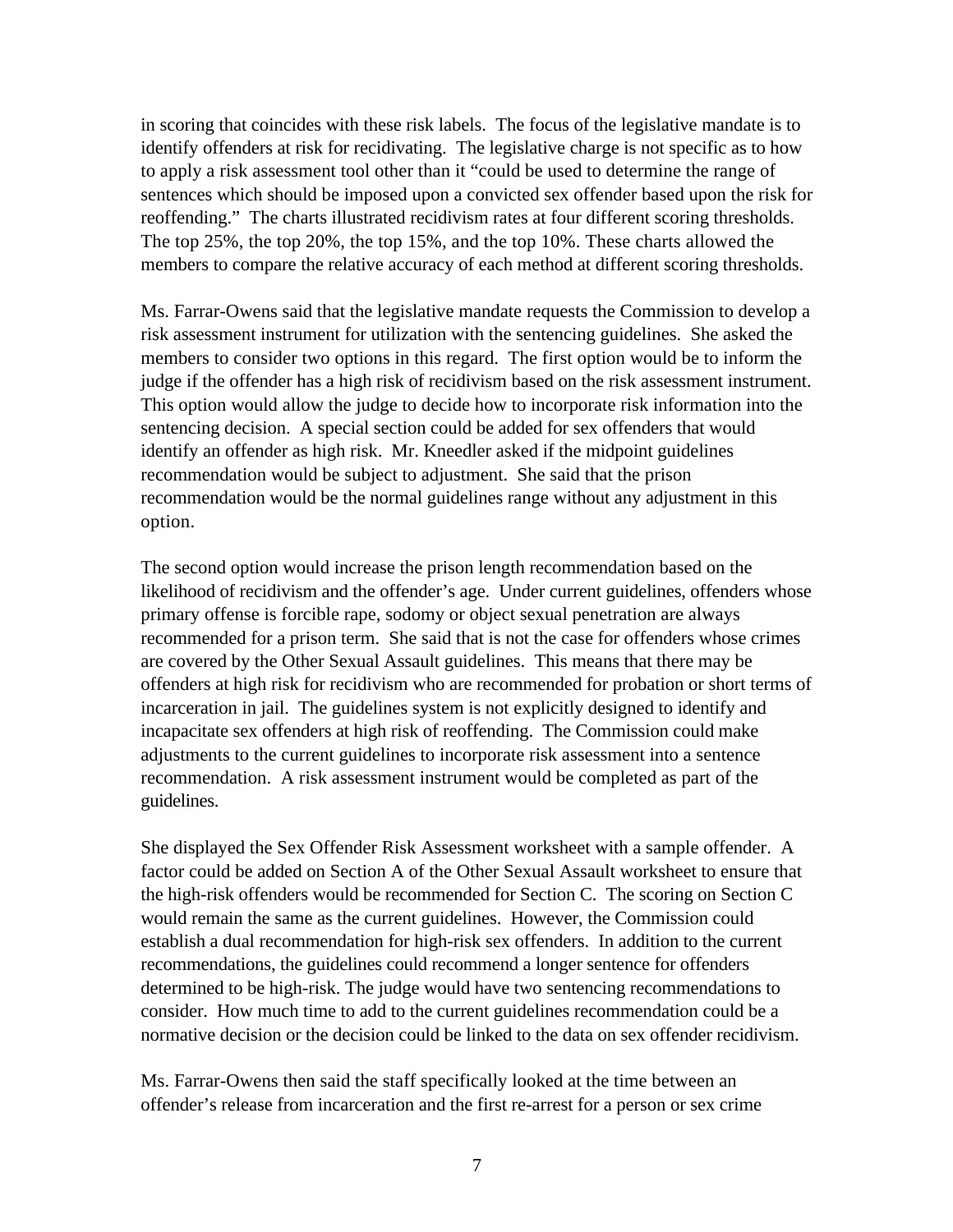in scoring that coincides with these risk labels. The focus of the legislative mandate is to identify offenders at risk for recidivating. The legislative charge is not specific as to how to apply a risk assessment tool other than it "could be used to determine the range of sentences which should be imposed upon a convicted sex offender based upon the risk for reoffending." The charts illustrated recidivism rates at four different scoring thresholds. The top 25%, the top 20%, the top 15%, and the top 10%. These charts allowed the members to compare the relative accuracy of each method at different scoring thresholds.

Ms. Farrar-Owens said that the legislative mandate requests the Commission to develop a risk assessment instrument for utilization with the sentencing guidelines. She asked the members to consider two options in this regard. The first option would be to inform the judge if the offender has a high risk of recidivism based on the risk assessment instrument. This option would allow the judge to decide how to incorporate risk information into the sentencing decision. A special section could be added for sex offenders that would identify an offender as high risk. Mr. Kneedler asked if the midpoint guidelines recommendation would be subject to adjustment. She said that the prison recommendation would be the normal guidelines range without any adjustment in this option.

The second option would increase the prison length recommendation based on the likelihood of recidivism and the offender's age. Under current guidelines, offenders whose primary offense is forcible rape, sodomy or object sexual penetration are always recommended for a prison term. She said that is not the case for offenders whose crimes are covered by the Other Sexual Assault guidelines. This means that there may be offenders at high risk for recidivism who are recommended for probation or short terms of incarceration in jail. The guidelines system is not explicitly designed to identify and incapacitate sex offenders at high risk of reoffending. The Commission could make adjustments to the current guidelines to incorporate risk assessment into a sentence recommendation. A risk assessment instrument would be completed as part of the guidelines.

She displayed the Sex Offender Risk Assessment worksheet with a sample offender. A factor could be added on Section A of the Other Sexual Assault worksheet to ensure that the high-risk offenders would be recommended for Section C. The scoring on Section C would remain the same as the current guidelines. However, the Commission could establish a dual recommendation for high-risk sex offenders. In addition to the current recommendations, the guidelines could recommend a longer sentence for offenders determined to be high-risk. The judge would have two sentencing recommendations to consider. How much time to add to the current guidelines recommendation could be a normative decision or the decision could be linked to the data on sex offender recidivism.

Ms. Farrar-Owens then said the staff specifically looked at the time between an offender's release from incarceration and the first re-arrest for a person or sex crime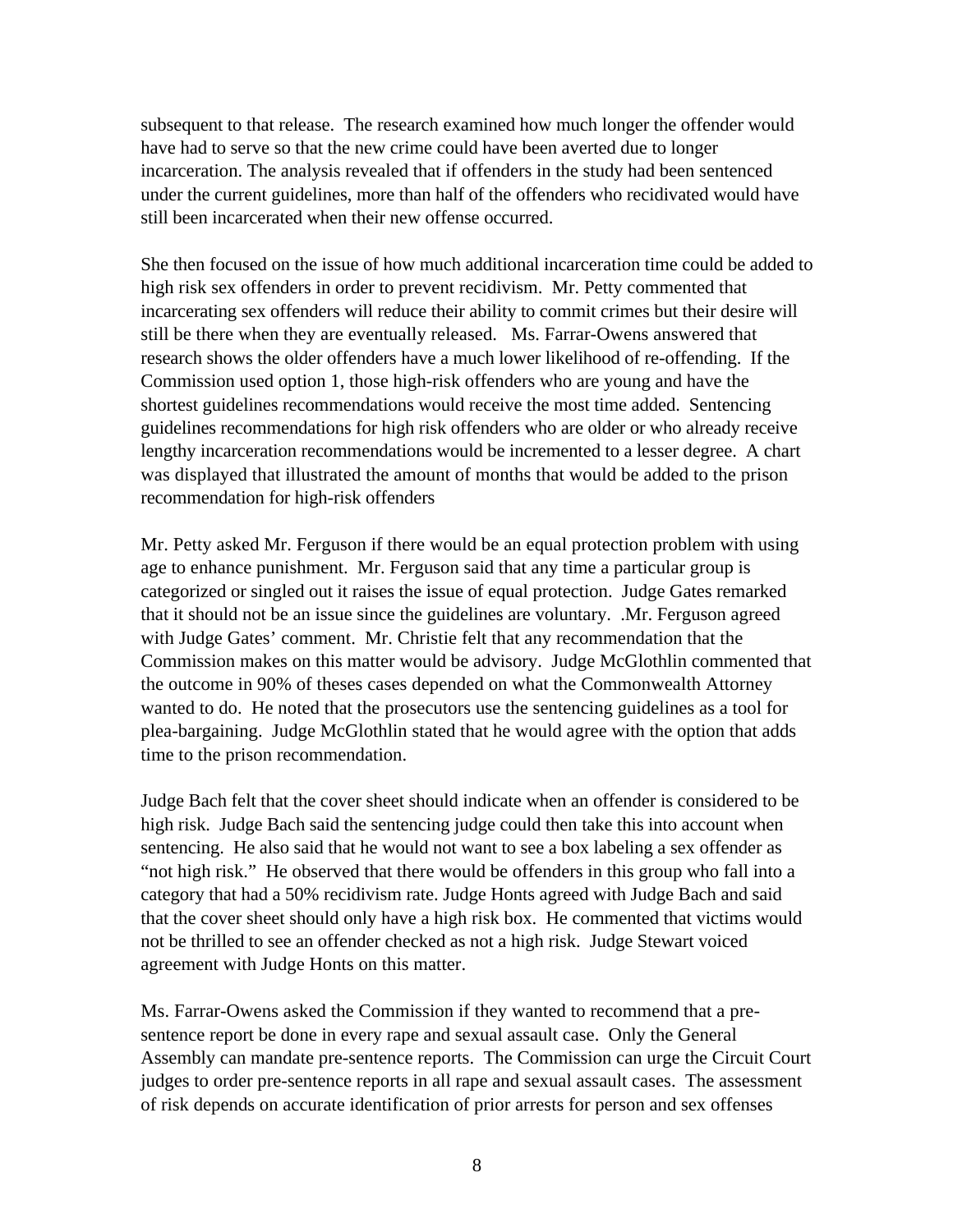subsequent to that release. The research examined how much longer the offender would have had to serve so that the new crime could have been averted due to longer incarceration. The analysis revealed that if offenders in the study had been sentenced under the current guidelines, more than half of the offenders who recidivated would have still been incarcerated when their new offense occurred.

She then focused on the issue of how much additional incarceration time could be added to high risk sex offenders in order to prevent recidivism. Mr. Petty commented that incarcerating sex offenders will reduce their ability to commit crimes but their desire will still be there when they are eventually released. Ms. Farrar-Owens answered that research shows the older offenders have a much lower likelihood of re-offending. If the Commission used option 1, those high-risk offenders who are young and have the shortest guidelines recommendations would receive the most time added. Sentencing guidelines recommendations for high risk offenders who are older or who already receive lengthy incarceration recommendations would be incremented to a lesser degree. A chart was displayed that illustrated the amount of months that would be added to the prison recommendation for high-risk offenders

Mr. Petty asked Mr. Ferguson if there would be an equal protection problem with using age to enhance punishment. Mr. Ferguson said that any time a particular group is categorized or singled out it raises the issue of equal protection. Judge Gates remarked that it should not be an issue since the guidelines are voluntary. .Mr. Ferguson agreed with Judge Gates' comment. Mr. Christie felt that any recommendation that the Commission makes on this matter would be advisory. Judge McGlothlin commented that the outcome in 90% of theses cases depended on what the Commonwealth Attorney wanted to do. He noted that the prosecutors use the sentencing guidelines as a tool for plea-bargaining. Judge McGlothlin stated that he would agree with the option that adds time to the prison recommendation.

Judge Bach felt that the cover sheet should indicate when an offender is considered to be high risk. Judge Bach said the sentencing judge could then take this into account when sentencing. He also said that he would not want to see a box labeling a sex offender as "not high risk." He observed that there would be offenders in this group who fall into a category that had a 50% recidivism rate. Judge Honts agreed with Judge Bach and said that the cover sheet should only have a high risk box. He commented that victims would not be thrilled to see an offender checked as not a high risk. Judge Stewart voiced agreement with Judge Honts on this matter.

Ms. Farrar-Owens asked the Commission if they wanted to recommend that a presentence report be done in every rape and sexual assault case. Only the General Assembly can mandate pre-sentence reports. The Commission can urge the Circuit Court judges to order pre-sentence reports in all rape and sexual assault cases. The assessment of risk depends on accurate identification of prior arrests for person and sex offenses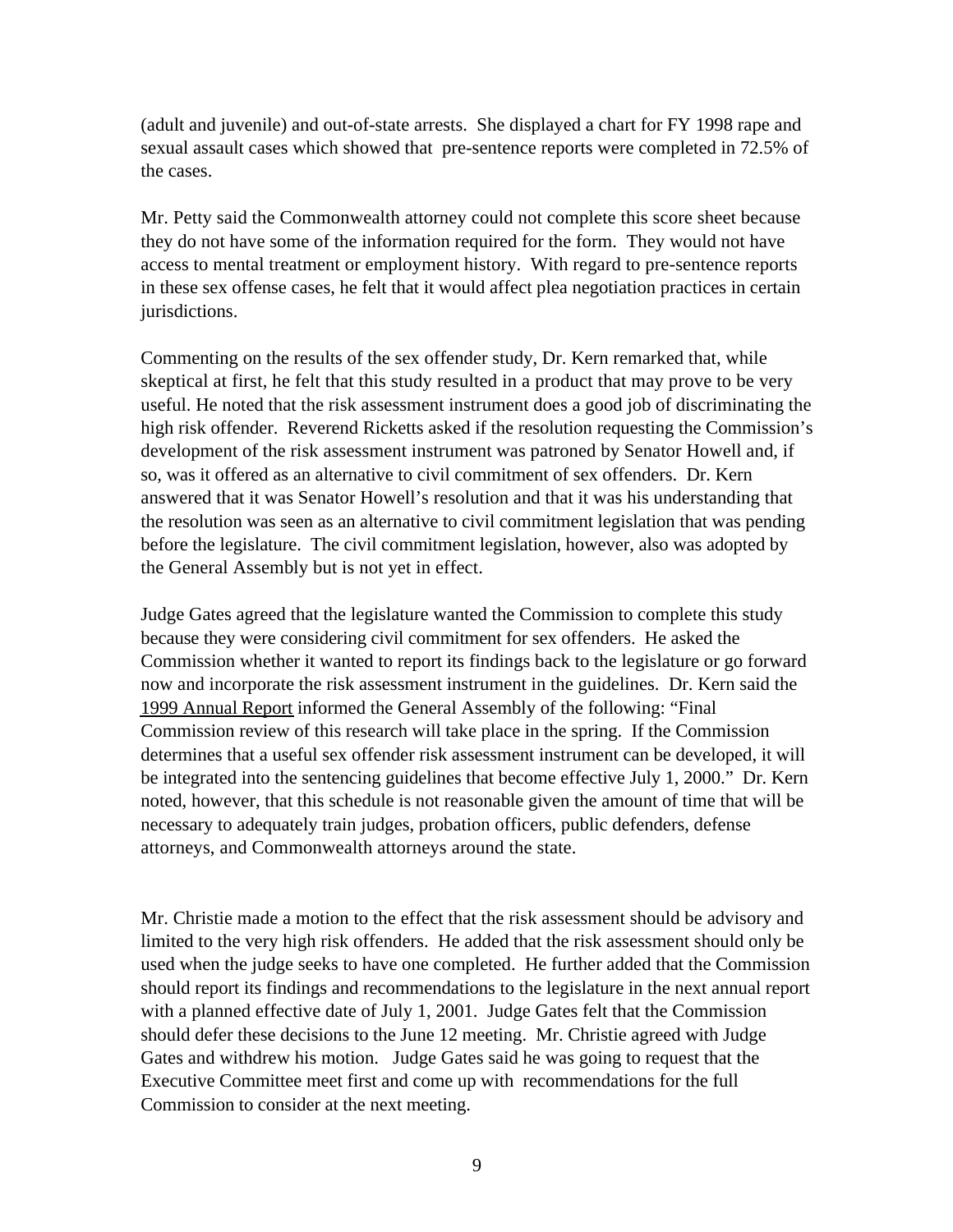(adult and juvenile) and out-of-state arrests. She displayed a chart for FY 1998 rape and sexual assault cases which showed that pre-sentence reports were completed in 72.5% of the cases.

Mr. Petty said the Commonwealth attorney could not complete this score sheet because they do not have some of the information required for the form. They would not have access to mental treatment or employment history. With regard to pre-sentence reports in these sex offense cases, he felt that it would affect plea negotiation practices in certain jurisdictions.

Commenting on the results of the sex offender study, Dr. Kern remarked that, while skeptical at first, he felt that this study resulted in a product that may prove to be very useful. He noted that the risk assessment instrument does a good job of discriminating the high risk offender. Reverend Ricketts asked if the resolution requesting the Commission's development of the risk assessment instrument was patroned by Senator Howell and, if so, was it offered as an alternative to civil commitment of sex offenders. Dr. Kern answered that it was Senator Howell's resolution and that it was his understanding that the resolution was seen as an alternative to civil commitment legislation that was pending before the legislature. The civil commitment legislation, however, also was adopted by the General Assembly but is not yet in effect.

Judge Gates agreed that the legislature wanted the Commission to complete this study because they were considering civil commitment for sex offenders. He asked the Commission whether it wanted to report its findings back to the legislature or go forward now and incorporate the risk assessment instrument in the guidelines. Dr. Kern said the 1999 Annual Report informed the General Assembly of the following: "Final Commission review of this research will take place in the spring. If the Commission determines that a useful sex offender risk assessment instrument can be developed, it will be integrated into the sentencing guidelines that become effective July 1, 2000." Dr. Kern noted, however, that this schedule is not reasonable given the amount of time that will be necessary to adequately train judges, probation officers, public defenders, defense attorneys, and Commonwealth attorneys around the state.

Mr. Christie made a motion to the effect that the risk assessment should be advisory and limited to the very high risk offenders. He added that the risk assessment should only be used when the judge seeks to have one completed. He further added that the Commission should report its findings and recommendations to the legislature in the next annual report with a planned effective date of July 1, 2001. Judge Gates felt that the Commission should defer these decisions to the June 12 meeting. Mr. Christie agreed with Judge Gates and withdrew his motion. Judge Gates said he was going to request that the Executive Committee meet first and come up with recommendations for the full Commission to consider at the next meeting.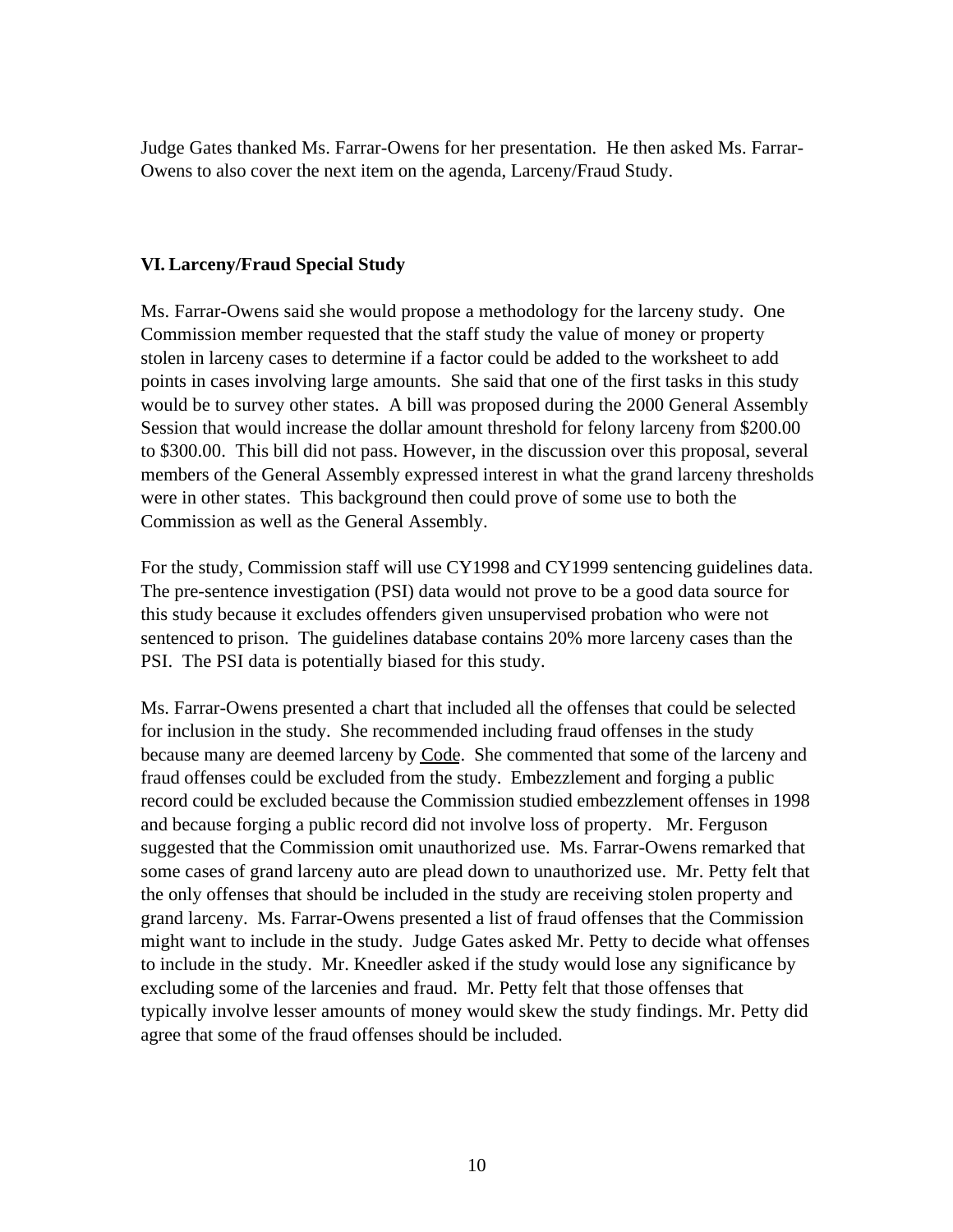Judge Gates thanked Ms. Farrar-Owens for her presentation. He then asked Ms. Farrar-Owens to also cover the next item on the agenda, Larceny/Fraud Study.

#### **VI. Larceny/Fraud Special Study**

Ms. Farrar-Owens said she would propose a methodology for the larceny study. One Commission member requested that the staff study the value of money or property stolen in larceny cases to determine if a factor could be added to the worksheet to add points in cases involving large amounts. She said that one of the first tasks in this study would be to survey other states. A bill was proposed during the 2000 General Assembly Session that would increase the dollar amount threshold for felony larceny from \$200.00 to \$300.00. This bill did not pass. However, in the discussion over this proposal, several members of the General Assembly expressed interest in what the grand larceny thresholds were in other states. This background then could prove of some use to both the Commission as well as the General Assembly.

For the study, Commission staff will use CY1998 and CY1999 sentencing guidelines data. The pre-sentence investigation (PSI) data would not prove to be a good data source for this study because it excludes offenders given unsupervised probation who were not sentenced to prison. The guidelines database contains 20% more larceny cases than the PSI. The PSI data is potentially biased for this study.

Ms. Farrar-Owens presented a chart that included all the offenses that could be selected for inclusion in the study. She recommended including fraud offenses in the study because many are deemed larceny by Code. She commented that some of the larceny and fraud offenses could be excluded from the study. Embezzlement and forging a public record could be excluded because the Commission studied embezzlement offenses in 1998 and because forging a public record did not involve loss of property. Mr. Ferguson suggested that the Commission omit unauthorized use. Ms. Farrar-Owens remarked that some cases of grand larceny auto are plead down to unauthorized use. Mr. Petty felt that the only offenses that should be included in the study are receiving stolen property and grand larceny. Ms. Farrar-Owens presented a list of fraud offenses that the Commission might want to include in the study. Judge Gates asked Mr. Petty to decide what offenses to include in the study. Mr. Kneedler asked if the study would lose any significance by excluding some of the larcenies and fraud. Mr. Petty felt that those offenses that typically involve lesser amounts of money would skew the study findings. Mr. Petty did agree that some of the fraud offenses should be included.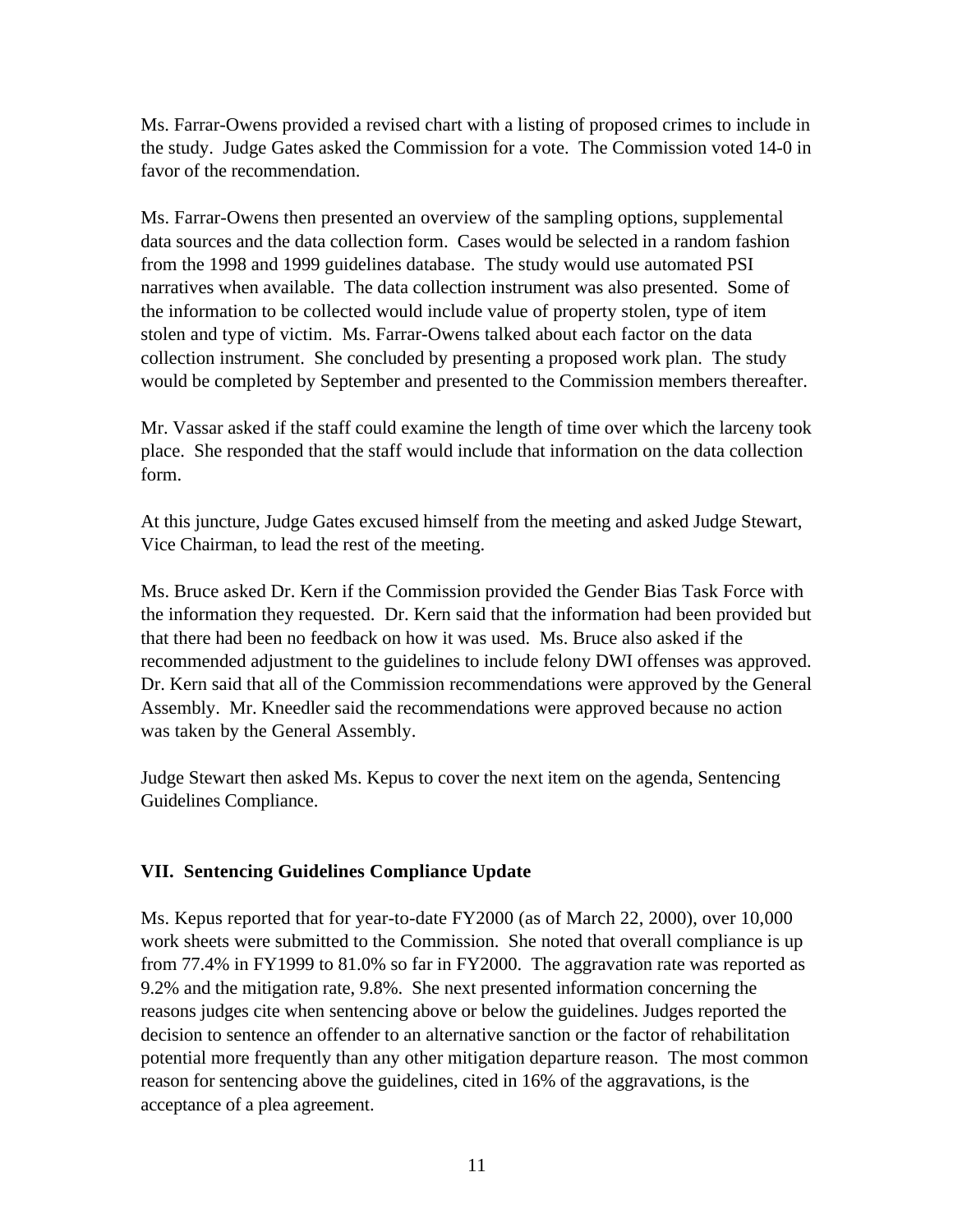Ms. Farrar-Owens provided a revised chart with a listing of proposed crimes to include in the study. Judge Gates asked the Commission for a vote. The Commission voted 14-0 in favor of the recommendation.

Ms. Farrar-Owens then presented an overview of the sampling options, supplemental data sources and the data collection form. Cases would be selected in a random fashion from the 1998 and 1999 guidelines database. The study would use automated PSI narratives when available. The data collection instrument was also presented. Some of the information to be collected would include value of property stolen, type of item stolen and type of victim. Ms. Farrar-Owens talked about each factor on the data collection instrument. She concluded by presenting a proposed work plan. The study would be completed by September and presented to the Commission members thereafter.

Mr. Vassar asked if the staff could examine the length of time over which the larceny took place. She responded that the staff would include that information on the data collection form.

At this juncture, Judge Gates excused himself from the meeting and asked Judge Stewart, Vice Chairman, to lead the rest of the meeting.

Ms. Bruce asked Dr. Kern if the Commission provided the Gender Bias Task Force with the information they requested. Dr. Kern said that the information had been provided but that there had been no feedback on how it was used. Ms. Bruce also asked if the recommended adjustment to the guidelines to include felony DWI offenses was approved. Dr. Kern said that all of the Commission recommendations were approved by the General Assembly. Mr. Kneedler said the recommendations were approved because no action was taken by the General Assembly.

Judge Stewart then asked Ms. Kepus to cover the next item on the agenda, Sentencing Guidelines Compliance.

## **VII. Sentencing Guidelines Compliance Update**

Ms. Kepus reported that for year-to-date FY2000 (as of March 22, 2000), over 10,000 work sheets were submitted to the Commission. She noted that overall compliance is up from 77.4% in FY1999 to 81.0% so far in FY2000. The aggravation rate was reported as 9.2% and the mitigation rate, 9.8%. She next presented information concerning the reasons judges cite when sentencing above or below the guidelines. Judges reported the decision to sentence an offender to an alternative sanction or the factor of rehabilitation potential more frequently than any other mitigation departure reason. The most common reason for sentencing above the guidelines, cited in 16% of the aggravations, is the acceptance of a plea agreement.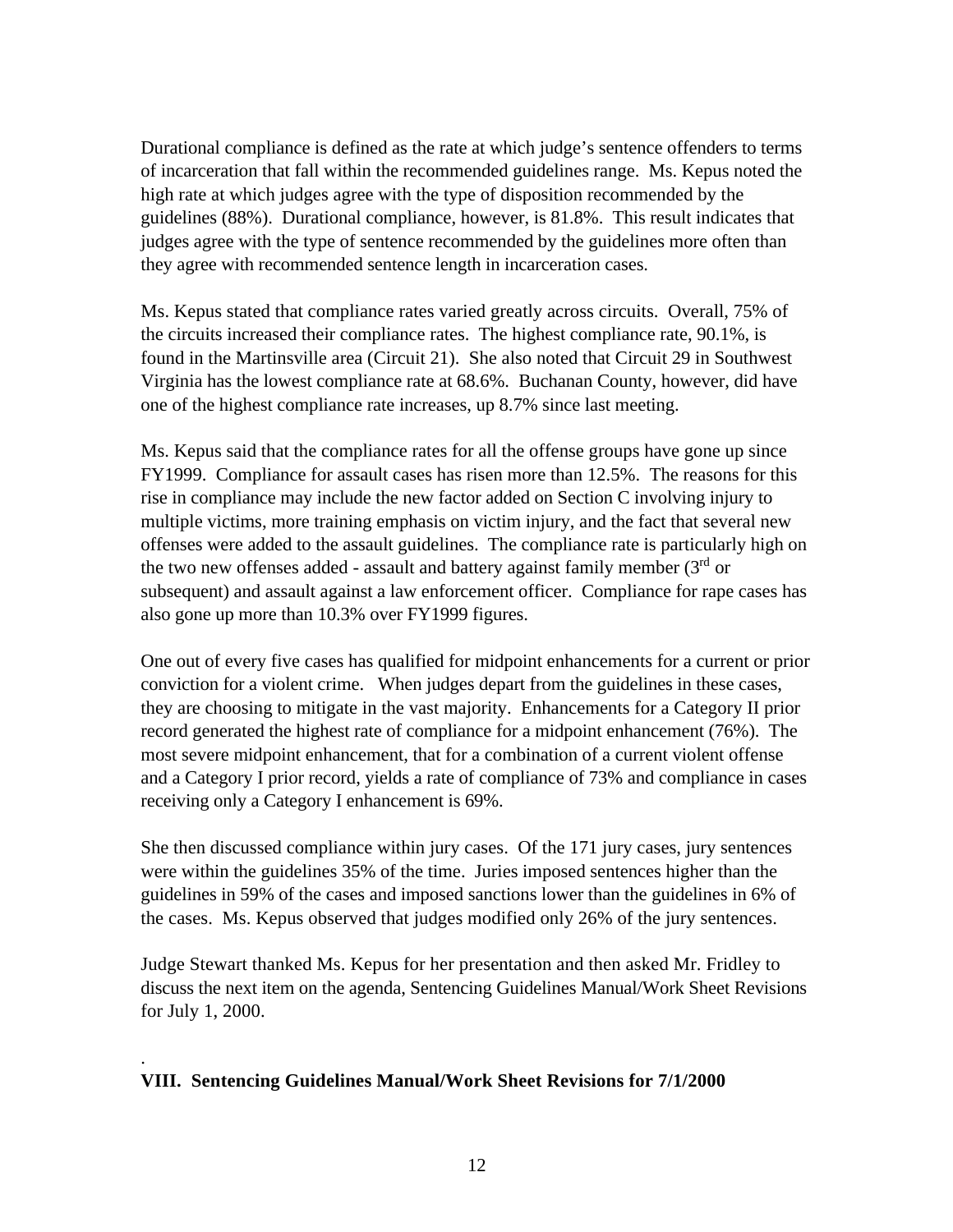Durational compliance is defined as the rate at which judge's sentence offenders to terms of incarceration that fall within the recommended guidelines range. Ms. Kepus noted the high rate at which judges agree with the type of disposition recommended by the guidelines (88%). Durational compliance, however, is 81.8%. This result indicates that judges agree with the type of sentence recommended by the guidelines more often than they agree with recommended sentence length in incarceration cases.

Ms. Kepus stated that compliance rates varied greatly across circuits. Overall, 75% of the circuits increased their compliance rates. The highest compliance rate, 90.1%, is found in the Martinsville area (Circuit 21). She also noted that Circuit 29 in Southwest Virginia has the lowest compliance rate at 68.6%. Buchanan County, however, did have one of the highest compliance rate increases, up 8.7% since last meeting.

Ms. Kepus said that the compliance rates for all the offense groups have gone up since FY1999. Compliance for assault cases has risen more than 12.5%. The reasons for this rise in compliance may include the new factor added on Section C involving injury to multiple victims, more training emphasis on victim injury, and the fact that several new offenses were added to the assault guidelines. The compliance rate is particularly high on the two new offenses added - assault and battery against family member  $(3<sup>rd</sup>$  or subsequent) and assault against a law enforcement officer. Compliance for rape cases has also gone up more than 10.3% over FY1999 figures.

One out of every five cases has qualified for midpoint enhancements for a current or prior conviction for a violent crime. When judges depart from the guidelines in these cases, they are choosing to mitigate in the vast majority. Enhancements for a Category II prior record generated the highest rate of compliance for a midpoint enhancement (76%). The most severe midpoint enhancement, that for a combination of a current violent offense and a Category I prior record, yields a rate of compliance of 73% and compliance in cases receiving only a Category I enhancement is 69%.

She then discussed compliance within jury cases. Of the 171 jury cases, jury sentences were within the guidelines 35% of the time. Juries imposed sentences higher than the guidelines in 59% of the cases and imposed sanctions lower than the guidelines in 6% of the cases. Ms. Kepus observed that judges modified only 26% of the jury sentences.

Judge Stewart thanked Ms. Kepus for her presentation and then asked Mr. Fridley to discuss the next item on the agenda, Sentencing Guidelines Manual/Work Sheet Revisions for July 1, 2000.

## **VIII. Sentencing Guidelines Manual/Work Sheet Revisions for 7/1/2000**

.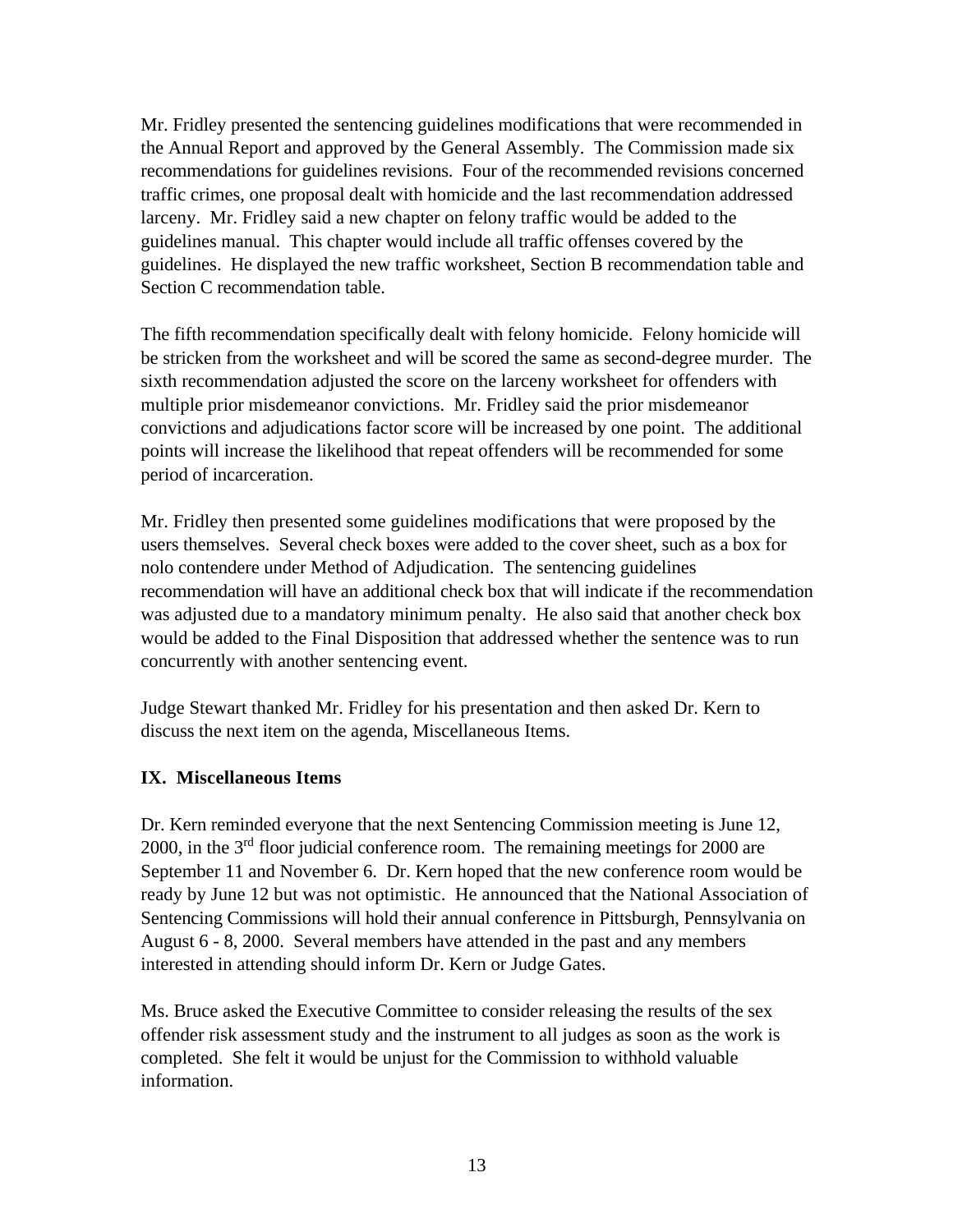Mr. Fridley presented the sentencing guidelines modifications that were recommended in the Annual Report and approved by the General Assembly. The Commission made six recommendations for guidelines revisions. Four of the recommended revisions concerned traffic crimes, one proposal dealt with homicide and the last recommendation addressed larceny. Mr. Fridley said a new chapter on felony traffic would be added to the guidelines manual. This chapter would include all traffic offenses covered by the guidelines. He displayed the new traffic worksheet, Section B recommendation table and Section C recommendation table.

The fifth recommendation specifically dealt with felony homicide. Felony homicide will be stricken from the worksheet and will be scored the same as second-degree murder. The sixth recommendation adjusted the score on the larceny worksheet for offenders with multiple prior misdemeanor convictions. Mr. Fridley said the prior misdemeanor convictions and adjudications factor score will be increased by one point. The additional points will increase the likelihood that repeat offenders will be recommended for some period of incarceration.

Mr. Fridley then presented some guidelines modifications that were proposed by the users themselves. Several check boxes were added to the cover sheet, such as a box for nolo contendere under Method of Adjudication. The sentencing guidelines recommendation will have an additional check box that will indicate if the recommendation was adjusted due to a mandatory minimum penalty. He also said that another check box would be added to the Final Disposition that addressed whether the sentence was to run concurrently with another sentencing event.

Judge Stewart thanked Mr. Fridley for his presentation and then asked Dr. Kern to discuss the next item on the agenda, Miscellaneous Items.

## **IX. Miscellaneous Items**

Dr. Kern reminded everyone that the next Sentencing Commission meeting is June 12, 2000, in the 3rd floor judicial conference room. The remaining meetings for 2000 are September 11 and November 6. Dr. Kern hoped that the new conference room would be ready by June 12 but was not optimistic. He announced that the National Association of Sentencing Commissions will hold their annual conference in Pittsburgh, Pennsylvania on August 6 - 8, 2000. Several members have attended in the past and any members interested in attending should inform Dr. Kern or Judge Gates.

Ms. Bruce asked the Executive Committee to consider releasing the results of the sex offender risk assessment study and the instrument to all judges as soon as the work is completed. She felt it would be unjust for the Commission to withhold valuable information.